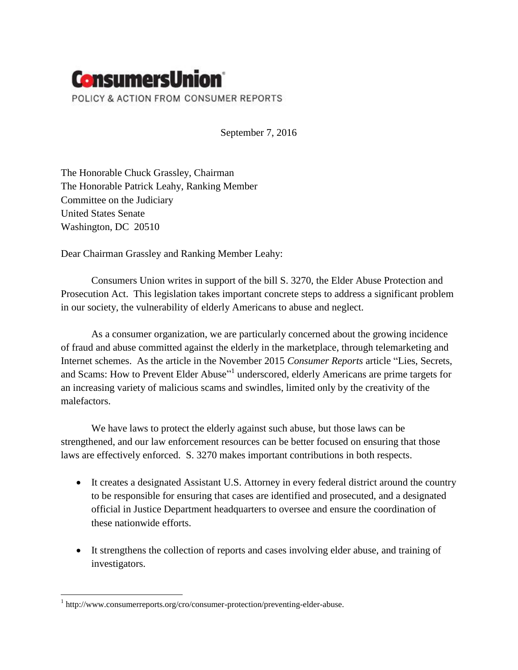

September 7, 2016

The Honorable Chuck Grassley, Chairman The Honorable Patrick Leahy, Ranking Member Committee on the Judiciary United States Senate Washington, DC 20510

Dear Chairman Grassley and Ranking Member Leahy:

Consumers Union writes in support of the bill S. 3270, the Elder Abuse Protection and Prosecution Act. This legislation takes important concrete steps to address a significant problem in our society, the vulnerability of elderly Americans to abuse and neglect.

As a consumer organization, we are particularly concerned about the growing incidence of fraud and abuse committed against the elderly in the marketplace, through telemarketing and Internet schemes. As the article in the November 2015 *Consumer Reports* article "Lies, Secrets, and Scams: How to Prevent Elder Abuse"<sup>1</sup> underscored, elderly Americans are prime targets for an increasing variety of malicious scams and swindles, limited only by the creativity of the malefactors.

We have laws to protect the elderly against such abuse, but those laws can be strengthened, and our law enforcement resources can be better focused on ensuring that those laws are effectively enforced. S. 3270 makes important contributions in both respects.

- It creates a designated Assistant U.S. Attorney in every federal district around the country to be responsible for ensuring that cases are identified and prosecuted, and a designated official in Justice Department headquarters to oversee and ensure the coordination of these nationwide efforts.
- It strengthens the collection of reports and cases involving elder abuse, and training of investigators.

 $\overline{\phantom{a}}$ 

<sup>&</sup>lt;sup>1</sup> http://www.consumerreports.org/cro/consumer-protection/preventing-elder-abuse.